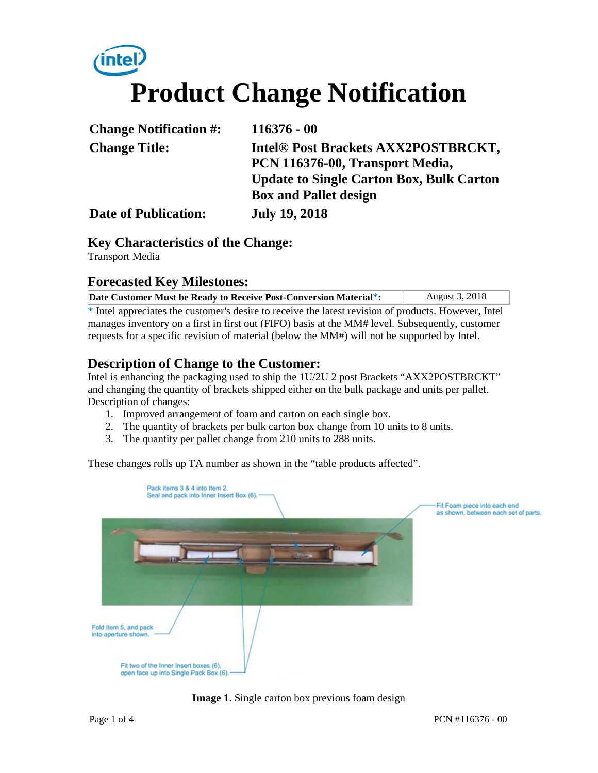# **Product Change Notification**

| <b>Change Notification #:</b> | $116376 - 00$                                   |  |
|-------------------------------|-------------------------------------------------|--|
| <b>Change Title:</b>          | Intel <sup>®</sup> Post Brackets AXX2POSTBRCKT, |  |
|                               | PCN 116376-00, Transport Media,                 |  |
|                               | <b>Update to Single Carton Box, Bulk Carton</b> |  |
|                               | <b>Box and Pallet design</b>                    |  |
| <b>Date of Publication:</b>   | <b>July 19, 2018</b>                            |  |

**Key Characteristics of the Change:**

Transport Media

#### **Forecasted Key Milestones:**

| Date Customer Must be Ready to Receive Post-Conversion Material*:                                    | <b>August 3, 2018</b> |  |  |
|------------------------------------------------------------------------------------------------------|-----------------------|--|--|
| * Intel appreciates the customer's desire to receive the latest revision of products. However, Intel |                       |  |  |
| manages inventory on a first in first out (FIFO) basis at the MM# level. Subsequently, customer      |                       |  |  |
| requests for a specific revision of material (below the MM#) will not be supported by Intel.         |                       |  |  |

## **Description of Change to the Customer:**

Intel is enhancing the packaging used to ship the 1U/2U 2 post Brackets "AXX2POSTBRCKT" and changing the quantity of brackets shipped either on the bulk package and units per pallet. Description of changes:

- 1. Improved arrangement of foam and carton on each single box.
- 2. The quantity of brackets per bulk carton box change from 10 units to 8 units.
- 3. The quantity per pallet change from 210 units to 288 units.

These changes rolls up TA number as shown in the "table products affected".



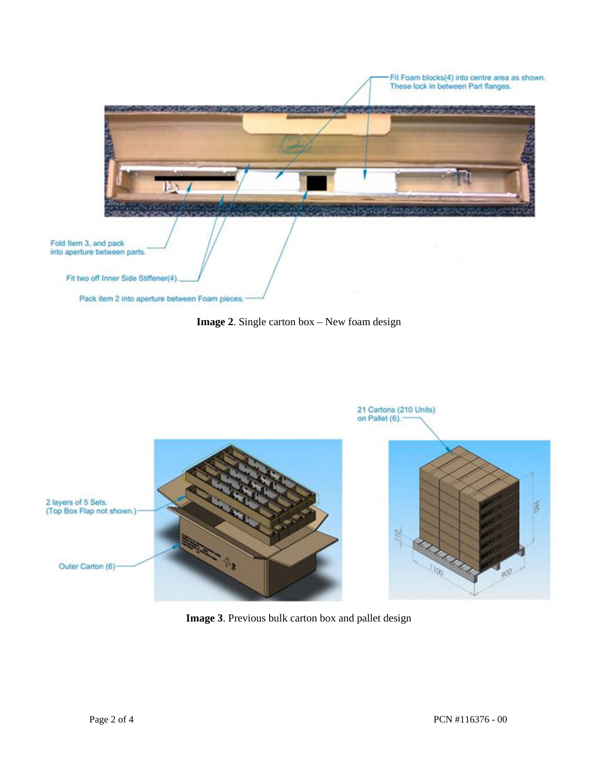

**Image 2**. Single carton box – New foam design



**Image 3**. Previous bulk carton box and pallet design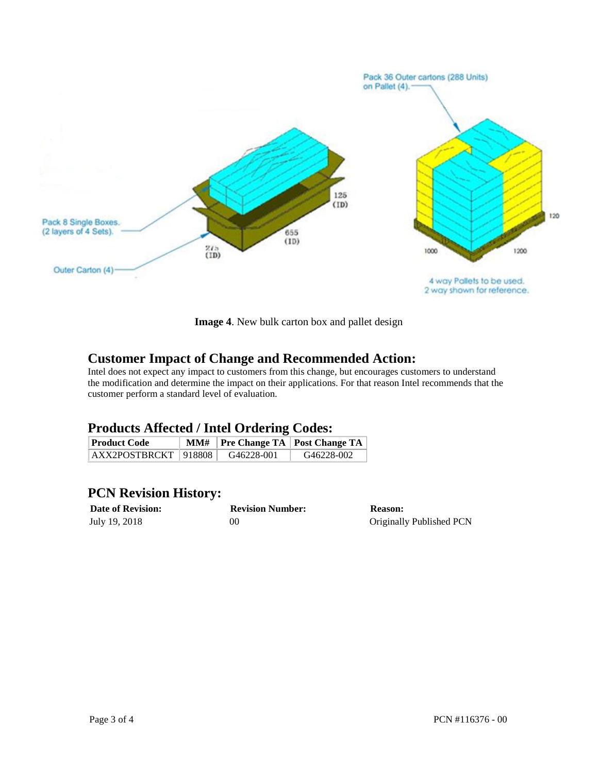

**Image 4**. New bulk carton box and pallet design

### **Customer Impact of Change and Recommended Action:**

Intel does not expect any impact to customers from this change, but encourages customers to understand the modification and determine the impact on their applications. For that reason Intel recommends that the customer perform a standard level of evaluation.

#### **Products Affected / Intel Ordering Codes:**

| <b>Product Code</b>      |            | MM#   Pre Change TA   Post Change TA |
|--------------------------|------------|--------------------------------------|
| $AXX2POSTBRCKT$   918808 | G46228-001 | G46228-002                           |

### **PCN Revision History:**

| <b>Date of Revision:</b> | <b>Revision Number:</b> | <b>Reason:</b>           |
|--------------------------|-------------------------|--------------------------|
| July 19, 2018            | 00                      | Originally Published PCN |